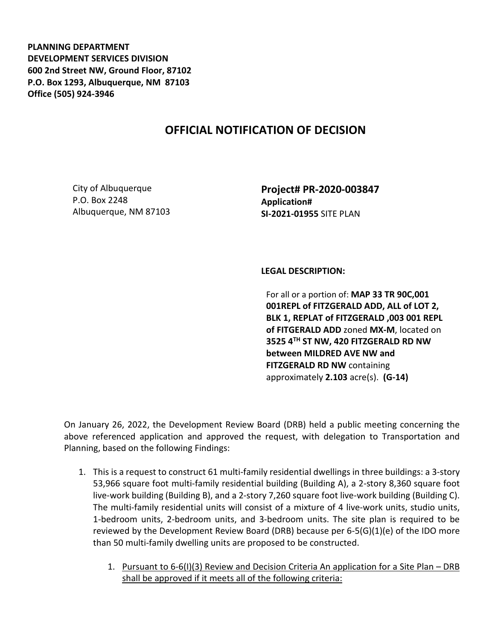**PLANNING DEPARTMENT DEVELOPMENT SERVICES DIVISION 600 2nd Street NW, Ground Floor, 87102 P.O. Box 1293, Albuquerque, NM 87103 Office (505) 924-3946** 

## **OFFICIAL NOTIFICATION OF DECISION**

City of Albuquerque P.O. Box 2248 Albuquerque, NM 87103 **Project# PR-2020-003847 Application# SI-2021-01955** SITE PLAN

## **LEGAL DESCRIPTION:**

For all or a portion of: **MAP 33 TR 90C,001 001REPL of FITZGERALD ADD, ALL of LOT 2, BLK 1, REPLAT of FITZGERALD ,003 001 REPL of FITGERALD ADD** zoned **MX-M**, located on **3525 4TH ST NW, 420 FITZGERALD RD NW between MILDRED AVE NW and FITZGERALD RD NW** containing approximately **2.103** acre(s). **(G-14)**

On January 26, 2022, the Development Review Board (DRB) held a public meeting concerning the above referenced application and approved the request, with delegation to Transportation and Planning, based on the following Findings:

- 1. This is a request to construct 61 multi-family residential dwellings in three buildings: a 3-story 53,966 square foot multi-family residential building (Building A), a 2-story 8,360 square foot live-work building (Building B), and a 2-story 7,260 square foot live-work building (Building C). The multi-family residential units will consist of a mixture of 4 live-work units, studio units, 1-bedroom units, 2-bedroom units, and 3-bedroom units. The site plan is required to be reviewed by the Development Review Board (DRB) because per 6-5(G)(1)(e) of the IDO more than 50 multi-family dwelling units are proposed to be constructed.
	- 1. Pursuant to 6-6(I)(3) Review and Decision Criteria An application for a Site Plan DRB shall be approved if it meets all of the following criteria: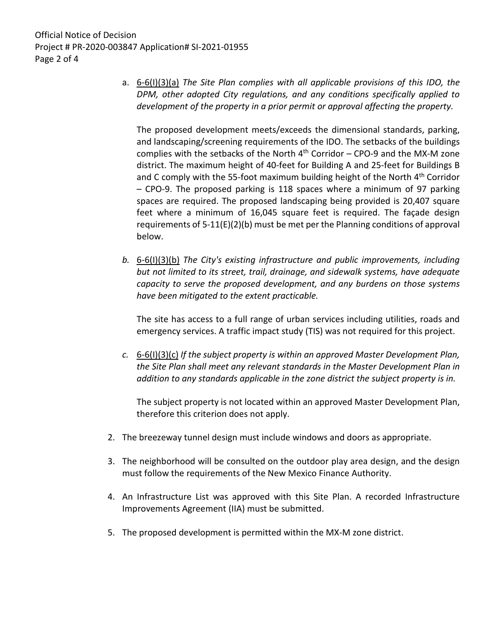a. 6-6(I)(3)(a) *The Site Plan complies with all applicable provisions of this IDO, the DPM, other adopted City regulations, and any conditions specifically applied to development of the property in a prior permit or approval affecting the property.*

The proposed development meets/exceeds the dimensional standards, parking, and landscaping/screening requirements of the IDO. The setbacks of the buildings complies with the setbacks of the North  $4<sup>th</sup>$  Corridor – CPO-9 and the MX-M zone district. The maximum height of 40-feet for Building A and 25-feet for Buildings B and C comply with the 55-foot maximum building height of the North 4<sup>th</sup> Corridor – CPO-9. The proposed parking is 118 spaces where a minimum of 97 parking spaces are required. The proposed landscaping being provided is 20,407 square feet where a minimum of 16,045 square feet is required. The façade design requirements of 5-11(E)(2)(b) must be met per the Planning conditions of approval below.

*b.* 6-6(I)(3)(b) *The City's existing infrastructure and public improvements, including but not limited to its street, trail, drainage, and sidewalk systems, have adequate capacity to serve the proposed development, and any burdens on those systems have been mitigated to the extent practicable.* 

The site has access to a full range of urban services including utilities, roads and emergency services. A traffic impact study (TIS) was not required for this project.

*c.* 6-6(I)(3)(c) *If the subject property is within an approved Master Development Plan, the Site Plan shall meet any relevant standards in the Master Development Plan in addition to any standards applicable in the zone district the subject property is in.*

The subject property is not located within an approved Master Development Plan, therefore this criterion does not apply.

- 2. The breezeway tunnel design must include windows and doors as appropriate.
- 3. The neighborhood will be consulted on the outdoor play area design, and the design must follow the requirements of the New Mexico Finance Authority.
- 4. An Infrastructure List was approved with this Site Plan. A recorded Infrastructure Improvements Agreement (IIA) must be submitted.
- 5. The proposed development is permitted within the MX-M zone district.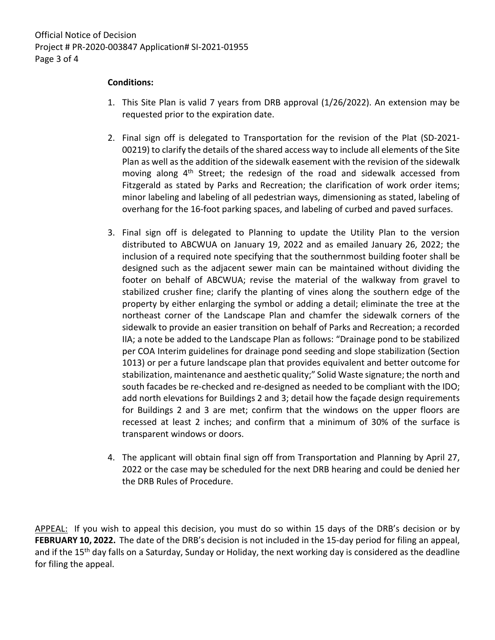## **Conditions:**

- 1. This Site Plan is valid 7 years from DRB approval (1/26/2022). An extension may be requested prior to the expiration date.
- 2. Final sign off is delegated to Transportation for the revision of the Plat (SD-2021- 00219) to clarify the details of the shared access way to include all elements of the Site Plan as well as the addition of the sidewalk easement with the revision of the sidewalk moving along 4<sup>th</sup> Street; the redesign of the road and sidewalk accessed from Fitzgerald as stated by Parks and Recreation; the clarification of work order items; minor labeling and labeling of all pedestrian ways, dimensioning as stated, labeling of overhang for the 16-foot parking spaces, and labeling of curbed and paved surfaces.
- 3. Final sign off is delegated to Planning to update the Utility Plan to the version distributed to ABCWUA on January 19, 2022 and as emailed January 26, 2022; the inclusion of a required note specifying that the southernmost building footer shall be designed such as the adjacent sewer main can be maintained without dividing the footer on behalf of ABCWUA; revise the material of the walkway from gravel to stabilized crusher fine; clarify the planting of vines along the southern edge of the property by either enlarging the symbol or adding a detail; eliminate the tree at the northeast corner of the Landscape Plan and chamfer the sidewalk corners of the sidewalk to provide an easier transition on behalf of Parks and Recreation; a recorded IIA; a note be added to the Landscape Plan as follows: "Drainage pond to be stabilized per COA Interim guidelines for drainage pond seeding and slope stabilization (Section 1013) or per a future landscape plan that provides equivalent and better outcome for stabilization, maintenance and aesthetic quality;" Solid Waste signature; the north and south facades be re-checked and re-designed as needed to be compliant with the IDO; add north elevations for Buildings 2 and 3; detail how the façade design requirements for Buildings 2 and 3 are met; confirm that the windows on the upper floors are recessed at least 2 inches; and confirm that a minimum of 30% of the surface is transparent windows or doors.
- 4. The applicant will obtain final sign off from Transportation and Planning by April 27, 2022 or the case may be scheduled for the next DRB hearing and could be denied her the DRB Rules of Procedure.

APPEAL: If you wish to appeal this decision, you must do so within 15 days of the DRB's decision or by **FEBRUARY 10, 2022.** The date of the DRB's decision is not included in the 15-day period for filing an appeal, and if the 15<sup>th</sup> day falls on a Saturday, Sunday or Holiday, the next working day is considered as the deadline for filing the appeal.